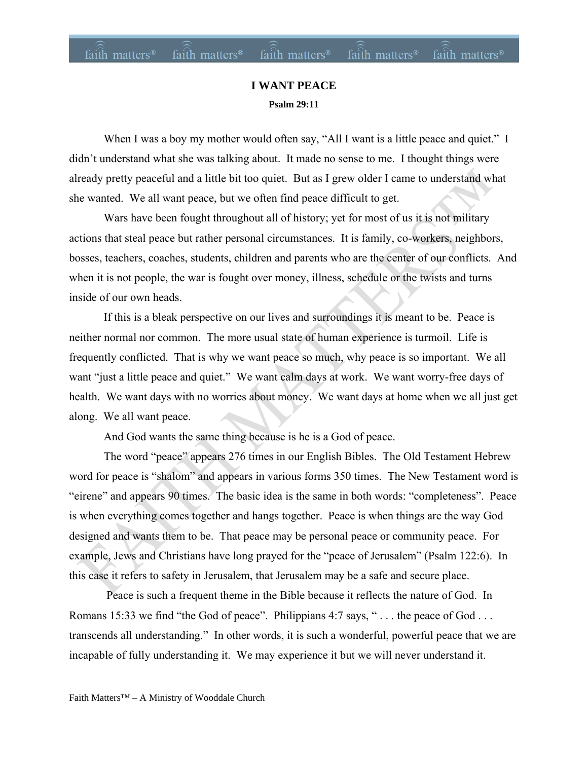### **I WANT PEACE Psalm 29:11**

When I was a boy my mother would often say, "All I want is a little peace and quiet." I didn't understand what she was talking about. It made no sense to me. I thought things were already pretty peaceful and a little bit too quiet. But as I grew older I came to understand what she wanted. We all want peace, but we often find peace difficult to get.

Wars have been fought throughout all of history; yet for most of us it is not military actions that steal peace but rather personal circumstances. It is family, co-workers, neighbors, bosses, teachers, coaches, students, children and parents who are the center of our conflicts. And when it is not people, the war is fought over money, illness, schedule or the twists and turns inside of our own heads.

If this is a bleak perspective on our lives and surroundings it is meant to be. Peace is neither normal nor common. The more usual state of human experience is turmoil. Life is frequently conflicted. That is why we want peace so much, why peace is so important. We all want "just a little peace and quiet." We want calm days at work. We want worry-free days of health. We want days with no worries about money. We want days at home when we all just get along. We all want peace.

And God wants the same thing because is he is a God of peace.

The word "peace" appears 276 times in our English Bibles. The Old Testament Hebrew word for peace is "shalom" and appears in various forms 350 times. The New Testament word is "eirene" and appears 90 times. The basic idea is the same in both words: "completeness". Peace is when everything comes together and hangs together. Peace is when things are the way God designed and wants them to be. That peace may be personal peace or community peace. For example, Jews and Christians have long prayed for the "peace of Jerusalem" (Psalm 122:6). In this case it refers to safety in Jerusalem, that Jerusalem may be a safe and secure place.

Peace is such a frequent theme in the Bible because it reflects the nature of God. In Romans 15:33 we find "the God of peace". Philippians 4:7 says, "... the peace of God ... transcends all understanding." In other words, it is such a wonderful, powerful peace that we are incapable of fully understanding it. We may experience it but we will never understand it.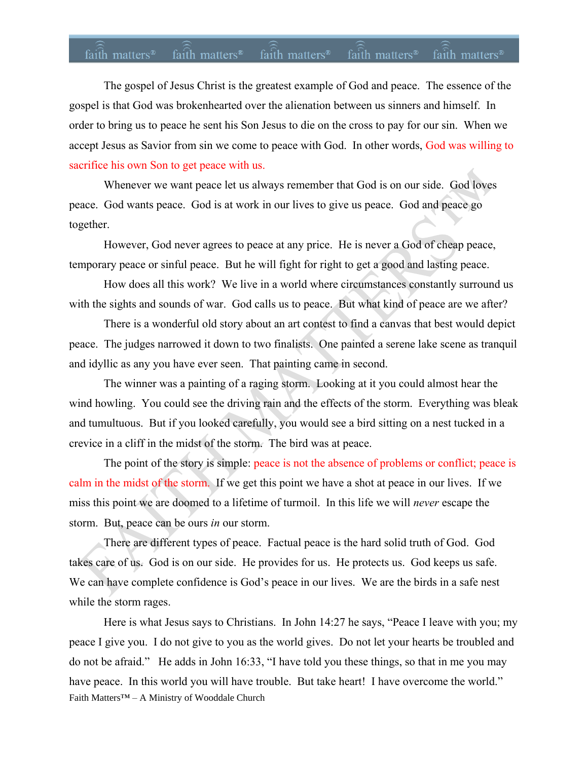## faith matters<sup>®</sup> faith matters<sup>®</sup> faith matters<sup>®</sup> faith matters<sup>®</sup> faith matters<sup>®</sup>

The gospel of Jesus Christ is the greatest example of God and peace. The essence of the gospel is that God was brokenhearted over the alienation between us sinners and himself. In order to bring us to peace he sent his Son Jesus to die on the cross to pay for our sin. When we accept Jesus as Savior from sin we come to peace with God. In other words, God was willing to sacrifice his own Son to get peace with us.

Whenever we want peace let us always remember that God is on our side. God loves peace. God wants peace. God is at work in our lives to give us peace. God and peace go together.

However, God never agrees to peace at any price. He is never a God of cheap peace, temporary peace or sinful peace. But he will fight for right to get a good and lasting peace.

How does all this work? We live in a world where circumstances constantly surround us with the sights and sounds of war. God calls us to peace. But what kind of peace are we after?

There is a wonderful old story about an art contest to find a canvas that best would depict peace. The judges narrowed it down to two finalists. One painted a serene lake scene as tranquil and idyllic as any you have ever seen. That painting came in second.

The winner was a painting of a raging storm. Looking at it you could almost hear the wind howling. You could see the driving rain and the effects of the storm. Everything was bleak and tumultuous. But if you looked carefully, you would see a bird sitting on a nest tucked in a crevice in a cliff in the midst of the storm. The bird was at peace.

The point of the story is simple: peace is not the absence of problems or conflict; peace is calm in the midst of the storm. If we get this point we have a shot at peace in our lives. If we miss this point we are doomed to a lifetime of turmoil. In this life we will *never* escape the storm. But, peace can be ours *in* our storm.

There are different types of peace. Factual peace is the hard solid truth of God. God takes care of us. God is on our side. He provides for us. He protects us. God keeps us safe. We can have complete confidence is God's peace in our lives. We are the birds in a safe nest while the storm rages.

Faith Matters™ – A Ministry of Wooddale Church Here is what Jesus says to Christians. In John 14:27 he says, "Peace I leave with you; my peace I give you. I do not give to you as the world gives. Do not let your hearts be troubled and do not be afraid." He adds in John 16:33, "I have told you these things, so that in me you may have peace. In this world you will have trouble. But take heart! I have overcome the world."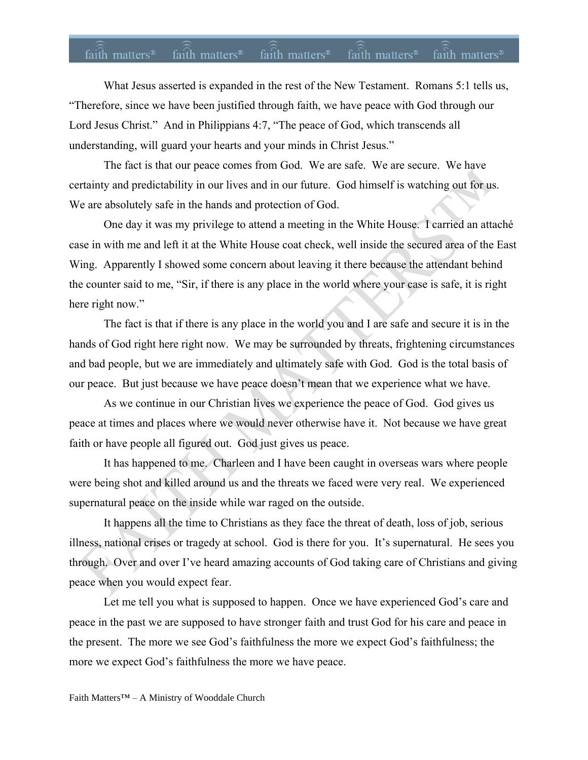# faith matters<sup>®</sup> faith matters<sup>®</sup> faith matters<sup>®</sup> faith matters<sup>®</sup> faith matters<sup>®</sup>

What Jesus asserted is expanded in the rest of the New Testament. Romans 5:1 tells us, "Therefore, since we have been justified through faith, we have peace with God through our Lord Jesus Christ." And in Philippians 4:7, "The peace of God, which transcends all understanding, will guard your hearts and your minds in Christ Jesus."

The fact is that our peace comes from God. We are safe. We are secure. We have certainty and predictability in our lives and in our future. God himself is watching out for us. We are absolutely safe in the hands and protection of God.

One day it was my privilege to attend a meeting in the White House. I carried an attaché case in with me and left it at the White House coat check, well inside the secured area of the East Wing. Apparently I showed some concern about leaving it there because the attendant behind the counter said to me, "Sir, if there is any place in the world where your case is safe, it is right here right now."

The fact is that if there is any place in the world you and I are safe and secure it is in the hands of God right here right now. We may be surrounded by threats, frightening circumstances and bad people, but we are immediately and ultimately safe with God. God is the total basis of our peace. But just because we have peace doesn't mean that we experience what we have.

As we continue in our Christian lives we experience the peace of God. God gives us peace at times and places where we would never otherwise have it. Not because we have great faith or have people all figured out. God just gives us peace.

It has happened to me. Charleen and I have been caught in overseas wars where people were being shot and killed around us and the threats we faced were very real. We experienced supernatural peace on the inside while war raged on the outside.

It happens all the time to Christians as they face the threat of death, loss of job, serious illness, national crises or tragedy at school. God is there for you. It's supernatural. He sees you through. Over and over I've heard amazing accounts of God taking care of Christians and giving peace when you would expect fear.

Let me tell you what is supposed to happen. Once we have experienced God's care and peace in the past we are supposed to have stronger faith and trust God for his care and peace in the present. The more we see God's faithfulness the more we expect God's faithfulness; the more we expect God's faithfulness the more we have peace.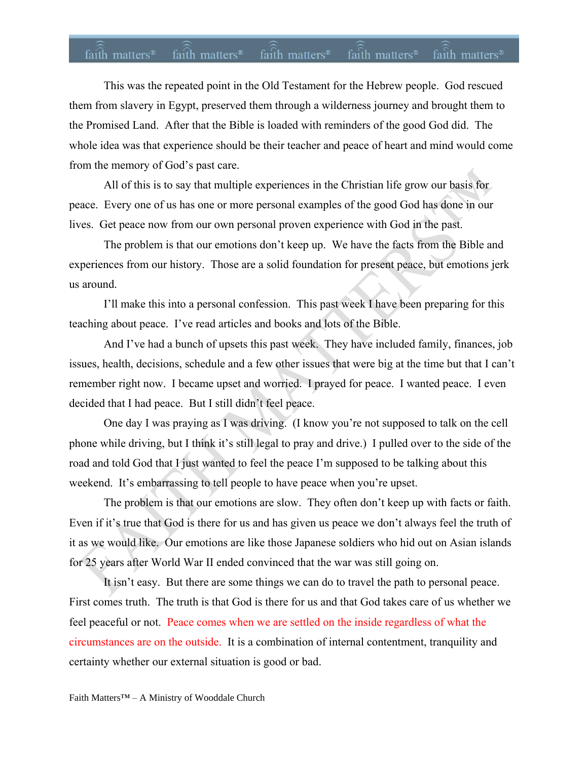# faith matters<sup>®</sup> faith matters® faith matters® faith matters® faith matters®

This was the repeated point in the Old Testament for the Hebrew people. God rescued them from slavery in Egypt, preserved them through a wilderness journey and brought them to the Promised Land. After that the Bible is loaded with reminders of the good God did. The whole idea was that experience should be their teacher and peace of heart and mind would come from the memory of God's past care.

All of this is to say that multiple experiences in the Christian life grow our basis for peace. Every one of us has one or more personal examples of the good God has done in our lives. Get peace now from our own personal proven experience with God in the past.

The problem is that our emotions don't keep up. We have the facts from the Bible and experiences from our history. Those are a solid foundation for present peace, but emotions jerk us around.

I'll make this into a personal confession. This past week I have been preparing for this teaching about peace. I've read articles and books and lots of the Bible.

And I've had a bunch of upsets this past week. They have included family, finances, job issues, health, decisions, schedule and a few other issues that were big at the time but that I can't remember right now. I became upset and worried. I prayed for peace. I wanted peace. I even decided that I had peace. But I still didn't feel peace.

One day I was praying as I was driving. (I know you're not supposed to talk on the cell phone while driving, but I think it's still legal to pray and drive.) I pulled over to the side of the road and told God that I just wanted to feel the peace I'm supposed to be talking about this weekend. It's embarrassing to tell people to have peace when you're upset.

The problem is that our emotions are slow. They often don't keep up with facts or faith. Even if it's true that God is there for us and has given us peace we don't always feel the truth of it as we would like. Our emotions are like those Japanese soldiers who hid out on Asian islands for 25 years after World War II ended convinced that the war was still going on.

It isn't easy. But there are some things we can do to travel the path to personal peace. First comes truth. The truth is that God is there for us and that God takes care of us whether we feel peaceful or not. Peace comes when we are settled on the inside regardless of what the circumstances are on the outside. It is a combination of internal contentment, tranquility and certainty whether our external situation is good or bad.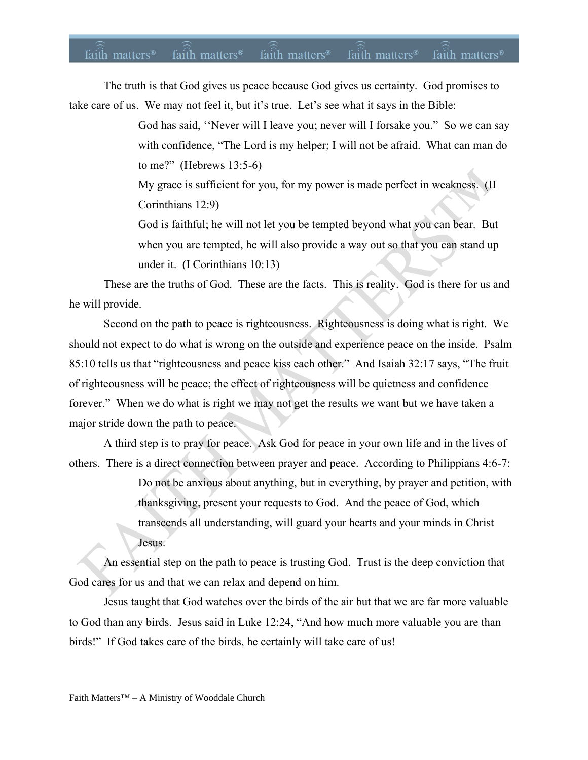#### faith matters<sup>®</sup> faith matters<sup>®</sup> faith matters<sup>®</sup> faith matters<sup>®</sup> faith matters®

The truth is that God gives us peace because God gives us certainty. God promises to take care of us. We may not feel it, but it's true. Let's see what it says in the Bible:

> God has said, ''Never will I leave you; never will I forsake you." So we can say with confidence, "The Lord is my helper; I will not be afraid. What can man do to me?" (Hebrews 13:5-6)

My grace is sufficient for you, for my power is made perfect in weakness. (II Corinthians 12:9)

God is faithful; he will not let you be tempted beyond what you can bear. But when you are tempted, he will also provide a way out so that you can stand up under it. (I Corinthians 10:13)

These are the truths of God. These are the facts. This is reality. God is there for us and he will provide.

Second on the path to peace is righteousness. Righteousness is doing what is right. We should not expect to do what is wrong on the outside and experience peace on the inside. Psalm 85:10 tells us that "righteousness and peace kiss each other." And Isaiah 32:17 says, "The fruit of righteousness will be peace; the effect of righteousness will be quietness and confidence forever." When we do what is right we may not get the results we want but we have taken a major stride down the path to peace.

A third step is to pray for peace. Ask God for peace in your own life and in the lives of others. There is a direct connection between prayer and peace. According to Philippians 4:6-7:

> Do not be anxious about anything, but in everything, by prayer and petition, with thanksgiving, present your requests to God. And the peace of God, which transcends all understanding, will guard your hearts and your minds in Christ Jesus.

An essential step on the path to peace is trusting God. Trust is the deep conviction that God cares for us and that we can relax and depend on him.

Jesus taught that God watches over the birds of the air but that we are far more valuable to God than any birds. Jesus said in Luke 12:24, "And how much more valuable you are than birds!" If God takes care of the birds, he certainly will take care of us!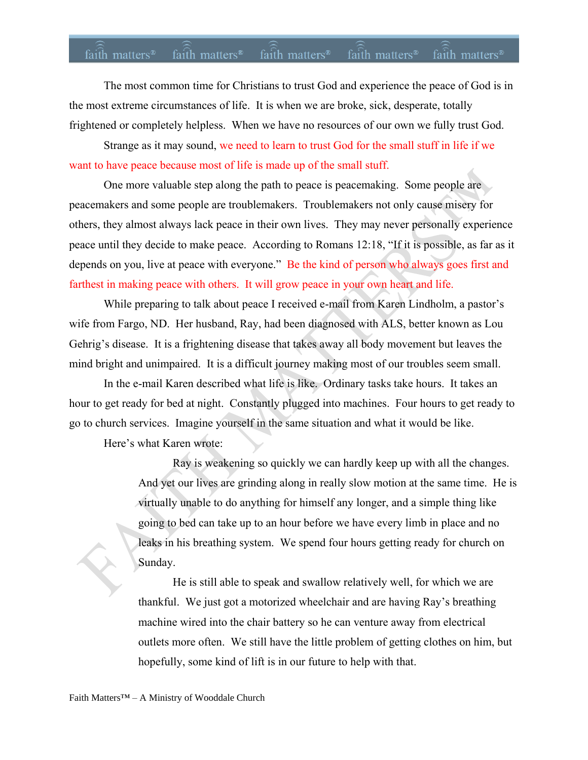### faith matters<sup>®</sup> faith matters<sup>®</sup> faith matters<sup>®</sup> faith matters<sup>®</sup> faith matters<sup>®</sup>

The most common time for Christians to trust God and experience the peace of God is in the most extreme circumstances of life. It is when we are broke, sick, desperate, totally frightened or completely helpless. When we have no resources of our own we fully trust God.

Strange as it may sound, we need to learn to trust God for the small stuff in life if we want to have peace because most of life is made up of the small stuff.

One more valuable step along the path to peace is peacemaking. Some people are peacemakers and some people are troublemakers. Troublemakers not only cause misery for others, they almost always lack peace in their own lives. They may never personally experience peace until they decide to make peace. According to Romans 12:18, "If it is possible, as far as it depends on you, live at peace with everyone." Be the kind of person who always goes first and farthest in making peace with others. It will grow peace in your own heart and life.

While preparing to talk about peace I received e-mail from Karen Lindholm, a pastor's wife from Fargo, ND. Her husband, Ray, had been diagnosed with ALS, better known as Lou Gehrig's disease. It is a frightening disease that takes away all body movement but leaves the mind bright and unimpaired. It is a difficult journey making most of our troubles seem small.

In the e-mail Karen described what life is like. Ordinary tasks take hours. It takes an hour to get ready for bed at night. Constantly plugged into machines. Four hours to get ready to go to church services. Imagine yourself in the same situation and what it would be like.

Here's what Karen wrote:

Ray is weakening so quickly we can hardly keep up with all the changes. And yet our lives are grinding along in really slow motion at the same time. He is virtually unable to do anything for himself any longer, and a simple thing like going to bed can take up to an hour before we have every limb in place and no leaks in his breathing system. We spend four hours getting ready for church on Sunday.

He is still able to speak and swallow relatively well, for which we are thankful. We just got a motorized wheelchair and are having Ray's breathing machine wired into the chair battery so he can venture away from electrical outlets more often. We still have the little problem of getting clothes on him, but hopefully, some kind of lift is in our future to help with that.